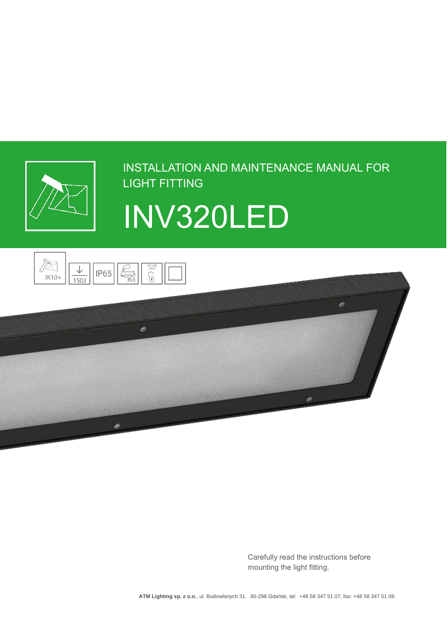

# INSTALLATION AND MAINTENANCE MANUAL FOR LIGHT FITTING







Carefully read the instructions before mounting the light fitting.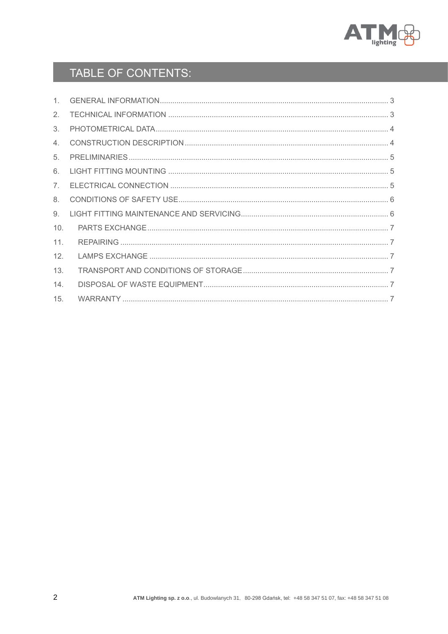

# TABLE OF CONTENTS:

| 1               |  |
|-----------------|--|
| 2.              |  |
| 3.              |  |
| 4.              |  |
| 5.              |  |
| 6.              |  |
| 7 <sub>1</sub>  |  |
| 8.              |  |
| 9.              |  |
| 10 <sub>1</sub> |  |
| 11.             |  |
| 12 <sub>1</sub> |  |
| 13.             |  |
| 14.             |  |
| 15.             |  |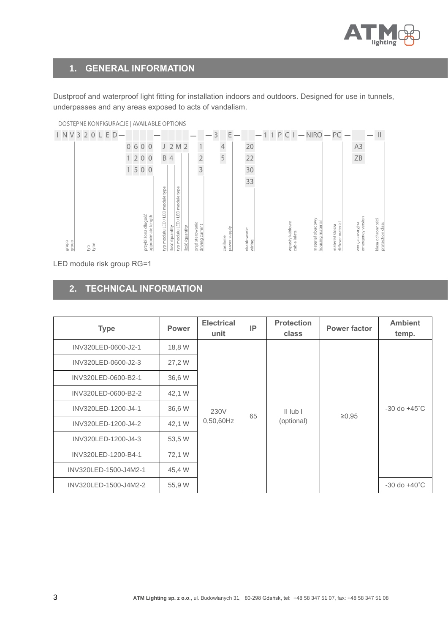

#### <span id="page-2-0"></span>**1. GENERAL INFORMATION**

Dustproof and waterproof light fitting for installation indoors and outdoors. Designed for use in tunnels, underpasses and any areas exposed to acts of vandalism.



DOSTEPNE KONFIGURACJE | AVAILABLE OPTIONS

LED module risk group RG=1

### <span id="page-2-1"></span>**2. TECHNICAL INFORMATION**

| <b>Type</b>           | Power  | <b>Electrical</b><br>unit | IP | <b>Protection</b><br><b>class</b> | <b>Power factor</b> | <b>Ambient</b><br>temp.  |              |  |                          |
|-----------------------|--------|---------------------------|----|-----------------------------------|---------------------|--------------------------|--------------|--|--------------------------|
| INV320LED-0600-J2-1   | 18,8 W | 230V<br>$0,50,60$ Hz      |    |                                   |                     |                          |              |  |                          |
| INV320LED-0600-J2-3   | 27,2 W |                           |    |                                   |                     |                          |              |  |                          |
| INV320LED-0600-B2-1   | 36,6 W |                           |    |                                   |                     |                          |              |  |                          |
| INV320LED-0600-B2-2   | 42,1 W |                           |    |                                   |                     |                          |              |  |                          |
| INV320LED-1200-J4-1   | 36,6 W |                           |    |                                   |                     | 65                       | $II$ lub $I$ |  | $-30$ do $+45^{\circ}$ C |
| INV320LED-1200-J4-2   | 42,1 W |                           |    |                                   |                     | (optional)               | $\ge 0.95$   |  |                          |
| INV320LED-1200-J4-3   | 53,5 W |                           |    |                                   |                     |                          |              |  |                          |
| INV320LED-1200-B4-1   | 72,1 W |                           |    |                                   |                     |                          |              |  |                          |
| INV320LED-1500-J4M2-1 | 45,4 W |                           |    |                                   |                     |                          |              |  |                          |
| INV320LED-1500-J4M2-2 | 55,9 W |                           |    |                                   |                     | $-30$ do $+40^{\circ}$ C |              |  |                          |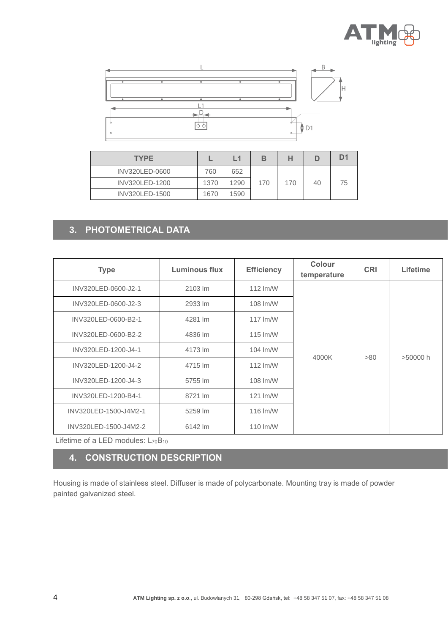



| <b>TYPE</b>    |      | L1   |     |     |    | D٠ |
|----------------|------|------|-----|-----|----|----|
| INV320LED-0600 | 760  | 652  |     |     |    |    |
| INV320LED-1200 | 1370 | 1290 | 170 | 170 | 40 | 75 |
| INV320LED-1500 | 1670 | 1590 |     |     |    |    |

#### <span id="page-3-0"></span>**3. PHOTOMETRICAL DATA**

| <b>Type</b>           | Luminous flux | <b>Efficiency</b>  |       | <b>CRI</b> | Lifetime |
|-----------------------|---------------|--------------------|-------|------------|----------|
| INV320LED-0600-J2-1   | 2103 lm       | 112 lm/W           |       | >80        | >50000h  |
| INV320LED-0600-J2-3   | 2933 lm       | 108 lm/W           |       |            |          |
| INV320LED-0600-B2-1   | 4281 lm       | $117 \text{ Im/W}$ |       |            |          |
| INV320LED-0600-B2-2   | 4836 lm       | 115 lm/W           |       |            |          |
| INV320LED-1200-J4-1   | 4173 lm       | 104 lm/W           |       |            |          |
| INV320LED-1200-J4-2   | 4715 lm       | 112 lm/W           | 4000K |            |          |
| INV320LED-1200-J4-3   | 5755 lm       | 108 lm/W           |       |            |          |
| INV320LED-1200-B4-1   | 8721 lm       | 121 lm/W           |       |            |          |
| INV320LED-1500-J4M2-1 | 5259 lm       | 116 lm/W           |       |            |          |
| INV320LED-1500-J4M2-2 | 6142 lm       | 110 lm/W           |       |            |          |

Lifetime of a LED modules:  $L_{70}B_{10}$ 

#### <span id="page-3-1"></span>**4. CONSTRUCTION DESCRIPTION**

Housing is made of stainless steel. Diffuser is made of polycarbonate. Mounting tray is made of powder painted galvanized steel.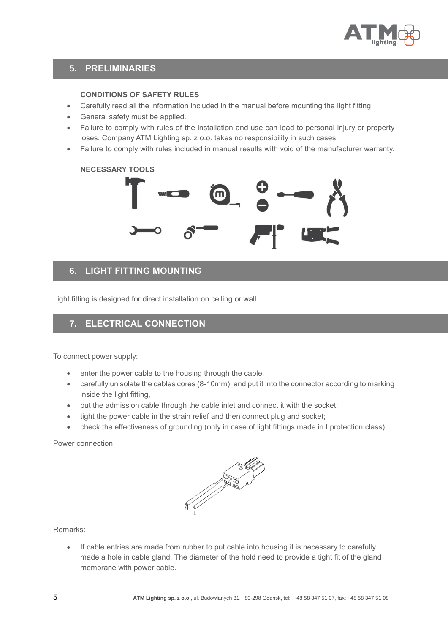

#### <span id="page-4-0"></span>**5. PRELIMINARIES**

#### **CONDITIONS OF SAFETY RULES**

- Carefully read all the information included in the manual before mounting the light fitting
- General safety must be applied.
- Failure to comply with rules of the installation and use can lead to personal injury or property loses. Company ATM Lighting sp. z o.o. takes no responsibility in such cases.
- Failure to comply with rules included in manual results with void of the manufacturer warranty.

# **NECESSARY TOOLS**

#### <span id="page-4-1"></span>**6. LIGHT FITTING MOUNTING**

Light fitting is designed for direct installation on ceiling or wall.

#### <span id="page-4-2"></span>**7. ELECTRICAL CONNECTION**

To connect power supply:

- enter the power cable to the housing through the cable,
- carefully unisolate the cables cores (8-10mm), and put it into the connector according to marking inside the light fitting.
- put the admission cable through the cable inlet and connect it with the socket;
- tight the power cable in the strain relief and then connect plug and socket;
- check the effectiveness of grounding (only in case of light fittings made in I protection class).

Power connection:



Remarks:

• If cable entries are made from rubber to put cable into housing it is necessary to carefully made a hole in cable gland. The diameter of the hold need to provide a tight fit of the gland membrane with power cable.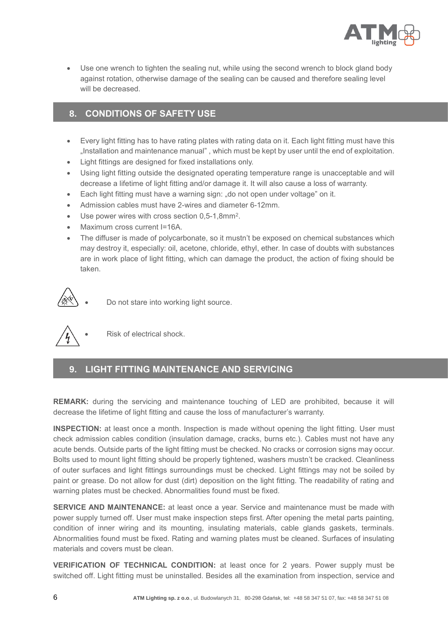

• Use one wrench to tighten the sealing nut, while using the second wrench to block gland body against rotation, otherwise damage of the sealing can be caused and therefore sealing level will be decreased.

#### <span id="page-5-0"></span>**8. CONDITIONS OF SAFETY USE**

- Every light fitting has to have rating plates with rating data on it. Each light fitting must have this "Installation and maintenance manual" , which must be kept by user until the end of exploitation.
- Light fittings are designed for fixed installations only.
- Using light fitting outside the designated operating temperature range is unacceptable and will decrease a lifetime of light fitting and/or damage it. It will also cause a loss of warranty.
- Each light fitting must have a warning sign: "do not open under voltage" on it.
- Admission cables must have 2-wires and diameter 6-12mm.
- Use power wires with cross section 0,5-1,8mm<sup>2</sup>.
- Maximum cross current I=16A.
- The diffuser is made of polycarbonate, so it mustn't be exposed on chemical substances which may destroy it, especially: oil, acetone, chloride, ethyl, ether. In case of doubts with substances are in work place of light fitting, which can damage the product, the action of fixing should be taken.



• Do not stare into working light source.



Risk of electrical shock.

#### <span id="page-5-1"></span>**9. LIGHT FITTING MAINTENANCE AND SERVICING**

**REMARK:** during the servicing and maintenance touching of LED are prohibited, because it will decrease the lifetime of light fitting and cause the loss of manufacturer's warranty.

**INSPECTION:** at least once a month. Inspection is made without opening the light fitting. User must check admission cables condition (insulation damage, cracks, burns etc.). Cables must not have any acute bends. Outside parts of the light fitting must be checked. No cracks or corrosion signs may occur. Bolts used to mount light fitting should be properly tightened, washers mustn't be cracked. Cleanliness of outer surfaces and light fittings surroundings must be checked. Light fittings may not be soiled by paint or grease. Do not allow for dust (dirt) deposition on the light fitting. The readability of rating and warning plates must be checked. Abnormalities found must be fixed.

**SERVICE AND MAINTENANCE:** at least once a year. Service and maintenance must be made with power supply turned off. User must make inspection steps first. After opening the metal parts painting, condition of inner wiring and its mounting, insulating materials, cable glands gaskets, terminals. Abnormalities found must be fixed. Rating and warning plates must be cleaned. Surfaces of insulating materials and covers must be clean.

**VERIFICATION OF TECHNICAL CONDITION:** at least once for 2 years. Power supply must be switched off. Light fitting must be uninstalled. Besides all the examination from inspection, service and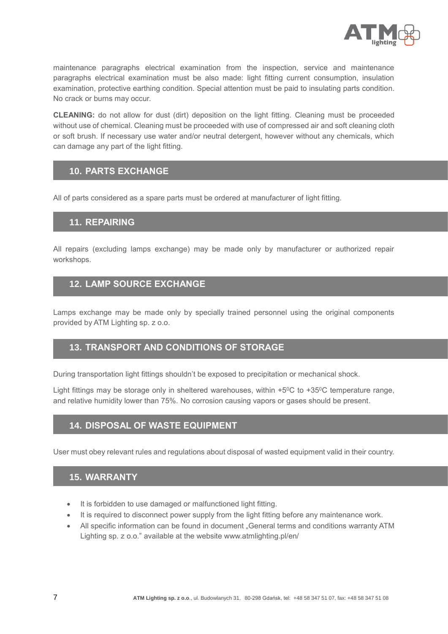

maintenance paragraphs electrical examination from the inspection, service and maintenance paragraphs electrical examination must be also made: light fitting current consumption, insulation examination, protective earthing condition. Special attention must be paid to insulating parts condition. No crack or burns may occur.

**CLEANING:** do not allow for dust (dirt) deposition on the light fitting. Cleaning must be proceeded without use of chemical. Cleaning must be proceeded with use of compressed air and soft cleaning cloth or soft brush. If necessary use water and/or neutral detergent, however without any chemicals, which can damage any part of the light fitting.

#### <span id="page-6-0"></span>**10. PARTS EXCHANGE**

All of parts considered as a spare parts must be ordered at manufacturer of light fitting.

#### <span id="page-6-1"></span>**11. REPAIRING**

All repairs (excluding lamps exchange) may be made only by manufacturer or authorized repair workshops.

#### <span id="page-6-2"></span>**12. LAMP SOURCE EXCHANGE**

Lamps exchange may be made only by specially trained personnel using the original components provided by ATM Lighting sp. z o.o.

#### <span id="page-6-3"></span>**13. TRANSPORT AND CONDITIONS OF STORAGE**

During transportation light fittings shouldn't be exposed to precipitation or mechanical shock.

Light fittings may be storage only in sheltered warehouses, within  $+5^{\circ}$ C to  $+35^{\circ}$ C temperature range, and relative humidity lower than 75%. No corrosion causing vapors or gases should be present.

#### <span id="page-6-4"></span>**14. DISPOSAL OF WASTE EQUIPMENT**

User must obey relevant rules and regulations about disposal of wasted equipment valid in their country.

#### <span id="page-6-5"></span>**15. WARRANTY**

- It is forbidden to use damaged or malfunctioned light fitting.
- It is required to disconnect power supply from the light fitting before any maintenance work.
- All specific information can be found in document "General terms and conditions warranty ATM Lighting sp. z o.o." available at the website www.atmlighting.pl/en/